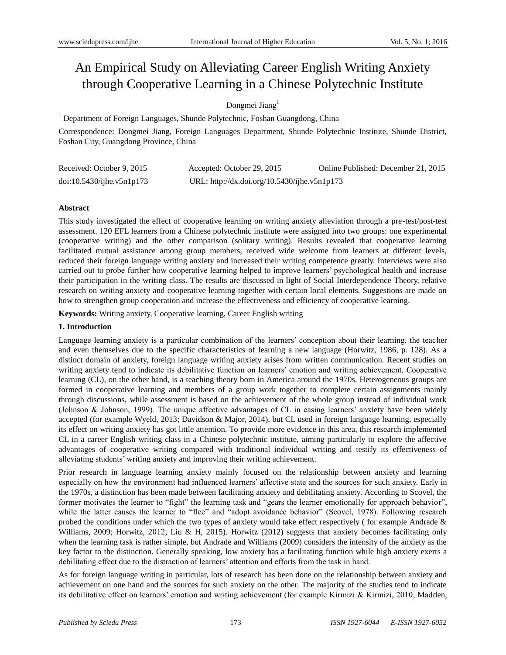# An Empirical Study on Alleviating Career English Writing Anxiety through Cooperative Learning in a Chinese Polytechnic Institute

# Dongmei Jiang<sup>1</sup>

<sup>1</sup> Department of Foreign Languages, Shunde Polytechnic, Foshan Guangdong, China

Correspondence: Dongmei Jiang, Foreign Languages Department, Shunde Polytechnic Institute, Shunde District, Foshan City, Guangdong Province, China

| Received: October 9, 2015 | Accepted: October 29, 2015                   | Online Published: December 21, 2015 |
|---------------------------|----------------------------------------------|-------------------------------------|
| doi:10.5430/ijhe.v5n1p173 | URL: http://dx.doi.org/10.5430/ijhe.v5n1p173 |                                     |

#### **Abstract**

This study investigated the effect of cooperative learning on writing anxiety alleviation through a pre-test/post-test assessment. 120 EFL learners from a Chinese polytechnic institute were assigned into two groups: one experimental (cooperative writing) and the other comparison (solitary writing). Results revealed that cooperative learning facilitated mutual assistance among group members, received wide welcome from learners at different levels, reduced their foreign language writing anxiety and increased their writing competence greatly. Interviews were also carried out to probe further how cooperative learning helped to improve learners' psychological health and increase their participation in the writing class. The results are discussed in light of Social Interdependence Theory, relative research on writing anxiety and cooperative learning together with certain local elements. Suggestions are made on how to strengthen group cooperation and increase the effectiveness and efficiency of cooperative learning.

**Keywords:** Writing anxiety, Cooperative learning, Career English writing

#### **1. Introduction**

Language learning anxiety is a particular combination of the learners' conception about their learning, the teacher and even themselves due to the specific characteristics of learning a new language (Horwitz, 1986, p. 128). As a distinct domain of anxiety, foreign language writing anxiety arises from written communication. Recent studies on writing anxiety tend to indicate its debilitative function on learners' emotion and writing achievement. Cooperative learning (CL), on the other hand, is a teaching theory born in America around the 1970s. Heterogeneous groups are formed in cooperative learning and members of a group work together to complete certain assignments mainly through discussions, while assessment is based on the achievement of the whole group instead of individual work (Johnson & Johnson, 1999). The unique affective advantages of CL in easing learners' anxiety have been widely accepted (for example Wyeld, 2013; Davidson & Major, 2014), but CL used in foreign language learning, especially its effect on writing anxiety has got little attention. To provide more evidence in this area, this research implemented CL in a career English writing class in a Chinese polytechnic institute, aiming particularly to explore the affective advantages of cooperative writing compared with traditional individual writing and testify its effectiveness of alleviating students' writing anxiety and improving their writing achievement.

Prior research in language learning anxiety mainly focused on the relationship between anxiety and learning especially on how the environment had influenced learners' affective state and the sources for such anxiety. Early in the 1970s, a distinction has been made between facilitating anxiety and debilitating anxiety. According to Scovel, the former motivates the learner to "fight" the learning task and "gears the learner emotionally for approach behavior", while the latter causes the learner to "flee" and "adopt avoidance behavior" (Scovel, 1978). Following research probed the conditions under which the two types of anxiety would take effect respectively ( for example Andrade & Williams, 2009; Horwitz, 2012; Liu & H, 2015). Horwitz (2012) suggests that anxiety becomes facilitating only when the learning task is rather simple, but Andrade and Williams (2009) considers the intensity of the anxiety as the key factor to the distinction. Generally speaking, low anxiety has a facilitating function while high anxiety exerts a debilitating effect due to the distraction of learners' attention and efforts from the task in hand.

As for foreign language writing in particular, lots of research has been done on the relationship between anxiety and achievement on one hand and the sources for such anxiety on the other. The majority of the studies tend to indicate its debilitative effect on learners' emotion and writing achievement (for example Kirmizi & Kirmizi, 2010; Madden,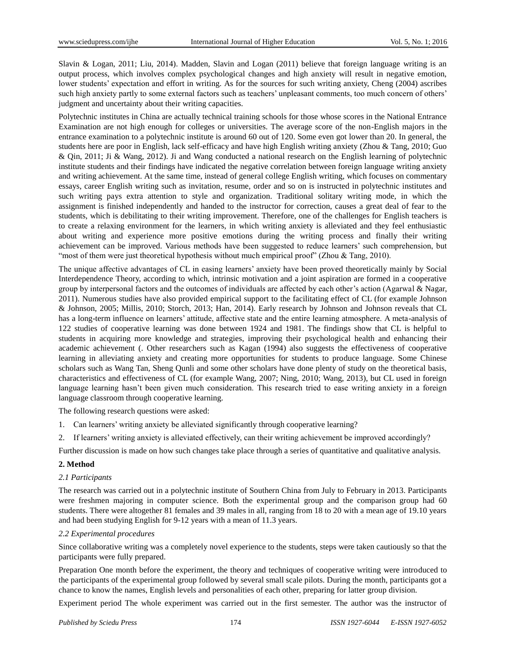Slavin & Logan, 2011; Liu, 2014). Madden, Slavin and Logan (2011) believe that foreign language writing is an output process, which involves complex psychological changes and high anxiety will result in negative emotion, lower students' expectation and effort in writing. As for the sources for such writing anxiety, Cheng (2004) ascribes such high anxiety partly to some external factors such as teachers' unpleasant comments, too much concern of others' judgment and uncertainty about their writing capacities.

Polytechnic institutes in China are actually technical training schools for those whose scores in the National Entrance Examination are not high enough for colleges or universities. The average score of the non-English majors in the entrance examination to a polytechnic institute is around 60 out of 120. Some even got lower than 20. In general, the students here are poor in English, lack self-efficacy and have high English writing anxiety (Zhou & Tang, 2010; Guo & Qin, 2011; Ji & Wang, 2012). Ji and Wang conducted a national research on the English learning of polytechnic institute students and their findings have indicated the negative correlation between foreign language writing anxiety and writing achievement. At the same time, instead of general college English writing, which focuses on commentary essays, career English writing such as invitation, resume, order and so on is instructed in polytechnic institutes and such writing pays extra attention to style and organization. Traditional solitary writing mode, in which the assignment is finished independently and handed to the instructor for correction, causes a great deal of fear to the students, which is debilitating to their writing improvement. Therefore, one of the challenges for English teachers is to create a relaxing environment for the learners, in which writing anxiety is alleviated and they feel enthusiastic about writing and experience more positive emotions during the writing process and finally their writing achievement can be improved. Various methods have been suggested to reduce learners' such comprehension, but "most of them were just theoretical hypothesis without much empirical proof" (Zhou & Tang, 2010).

The unique affective advantages of CL in easing learners' anxiety have been proved theoretically mainly by Social Interdependence Theory, according to which, intrinsic motivation and a joint aspiration are formed in a cooperative group by interpersonal factors and the outcomes of individuals are affected by each other's action (Agarwal & Nagar, 2011). Numerous studies have also provided empirical support to the facilitating effect of CL (for example Johnson & Johnson, 2005; Millis, 2010; Storch, 2013; Han, 2014). Early research by Johnson and Johnson reveals that CL has a long-term influence on learners' attitude, affective state and the entire learning atmosphere. A meta-analysis of 122 studies of cooperative learning was done between 1924 and 1981. The findings show that CL is helpful to students in acquiring more knowledge and strategies, improving their psychological health and enhancing their academic achievement (. Other researchers such as Kagan (1994) also suggests the effectiveness of cooperative learning in alleviating anxiety and creating more opportunities for students to produce language. Some Chinese scholars such as Wang Tan, Sheng Qunli and some other scholars have done plenty of study on the theoretical basis, characteristics and effectiveness of CL (for example Wang, 2007; Ning, 2010; Wang, 2013), but CL used in foreign language learning hasn't been given much consideration. This research tried to ease writing anxiety in a foreign language classroom through cooperative learning.

The following research questions were asked:

- 1. Can learners' writing anxiety be alleviated significantly through cooperative learning?
- 2. If learners' writing anxiety is alleviated effectively, can their writing achievement be improved accordingly?

Further discussion is made on how such changes take place through a series of quantitative and qualitative analysis.

#### **2. Method**

#### *2.1 Participants*

The research was carried out in a polytechnic institute of Southern China from July to February in 2013. Participants were freshmen majoring in computer science. Both the experimental group and the comparison group had 60 students. There were altogether 81 females and 39 males in all, ranging from 18 to 20 with a mean age of 19.10 years and had been studying English for 9-12 years with a mean of 11.3 years.

# *2.2 Experimental procedures*

Since collaborative writing was a completely novel experience to the students, steps were taken cautiously so that the participants were fully prepared.

Preparation One month before the experiment, the theory and techniques of cooperative writing were introduced to the participants of the experimental group followed by several small scale pilots. During the month, participants got a chance to know the names, English levels and personalities of each other, preparing for latter group division.

Experiment period The whole experiment was carried out in the first semester. The author was the instructor of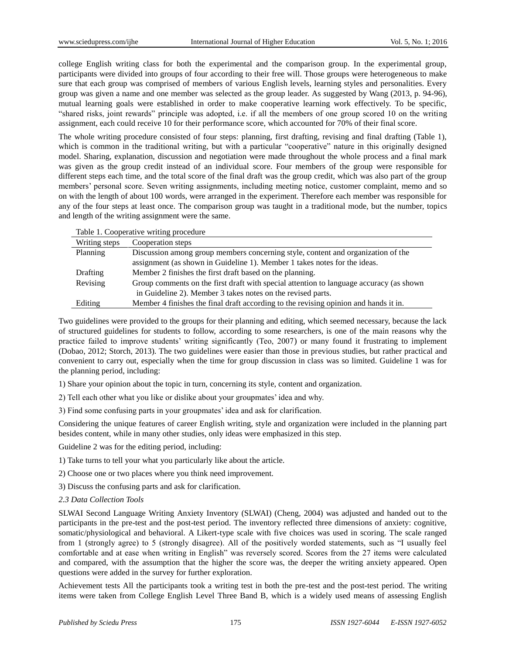college English writing class for both the experimental and the comparison group. In the experimental group, participants were divided into groups of four according to their free will. Those groups were heterogeneous to make sure that each group was comprised of members of various English levels, learning styles and personalities. Every group was given a name and one member was selected as the group leader. As suggested by Wang (2013, p. 94-96), mutual learning goals were established in order to make cooperative learning work effectively. To be specific, "shared risks, joint rewards" principle was adopted, i.e. if all the members of one group scored 10 on the writing assignment, each could receive 10 for their performance score, which accounted for 70% of their final score.

The whole writing procedure consisted of four steps: planning, first drafting, revising and final drafting (Table 1), which is common in the traditional writing, but with a particular "cooperative" nature in this originally designed model. Sharing, explanation, discussion and negotiation were made throughout the whole process and a final mark was given as the group credit instead of an individual score. Four members of the group were responsible for different steps each time, and the total score of the final draft was the group credit, which was also part of the group members' personal score. Seven writing assignments, including meeting notice, customer complaint, memo and so on with the length of about 100 words, were arranged in the experiment. Therefore each member was responsible for any of the four steps at least once. The comparison group was taught in a traditional mode, but the number, topics and length of the writing assignment were the same.

| Table 1. Cooperative writing procedure |  |
|----------------------------------------|--|
|                                        |  |

| Writing steps | Cooperation steps                                                                       |
|---------------|-----------------------------------------------------------------------------------------|
| Planning      | Discussion among group members concerning style, content and organization of the        |
|               | assignment (as shown in Guideline 1). Member 1 takes notes for the ideas.               |
| Drafting      | Member 2 finishes the first draft based on the planning.                                |
| Revising      | Group comments on the first draft with special attention to language accuracy (as shown |
|               | in Guideline 2). Member 3 takes notes on the revised parts.                             |
| Editing       | Member 4 finishes the final draft according to the revising opinion and hands it in.    |

Two guidelines were provided to the groups for their planning and editing, which seemed necessary, because the lack of structured guidelines for students to follow, according to some researchers, is one of the main reasons why the practice failed to improve students' writing significantly (Teo, 2007) or many found it frustrating to implement (Dobao, 2012; Storch, 2013). The two guidelines were easier than those in previous studies, but rather practical and convenient to carry out, especially when the time for group discussion in class was so limited. Guideline 1 was for the planning period, including:

1) Share your opinion about the topic in turn, concerning its style, content and organization.

- 2) Tell each other what you like or dislike about your groupmates' idea and why.
- 3) Find some confusing parts in your groupmates' idea and ask for clarification.

Considering the unique features of career English writing, style and organization were included in the planning part besides content, while in many other studies, only ideas were emphasized in this step.

Guideline 2 was for the editing period, including:

- 1) Take turns to tell your what you particularly like about the article.
- 2) Choose one or two places where you think need improvement.
- 3) Discuss the confusing parts and ask for clarification.
- *2.3 Data Collection Tools*

SLWAI Second Language Writing Anxiety Inventory (SLWAI) (Cheng, 2004) was adjusted and handed out to the participants in the pre-test and the post-test period. The inventory reflected three dimensions of anxiety: cognitive, somatic/physiological and behavioral. A Likert-type scale with five choices was used in scoring. The scale ranged from 1 (strongly agree) to 5 (strongly disagree). All of the positively worded statements, such as "I usually feel comfortable and at ease when writing in English" was reversely scored. Scores from the 27 items were calculated and compared, with the assumption that the higher the score was, the deeper the writing anxiety appeared. Open questions were added in the survey for further exploration. The Lindchie Coperative writing procedure<br>
Thermain University and the College Theorem and the system in Gradislands and the plane in the plane of a wideline of a wideline and the plane of a wideline of a wideline and the

Achievement tests All the participants took a writing test in both the pre-test and the post-test period. The writing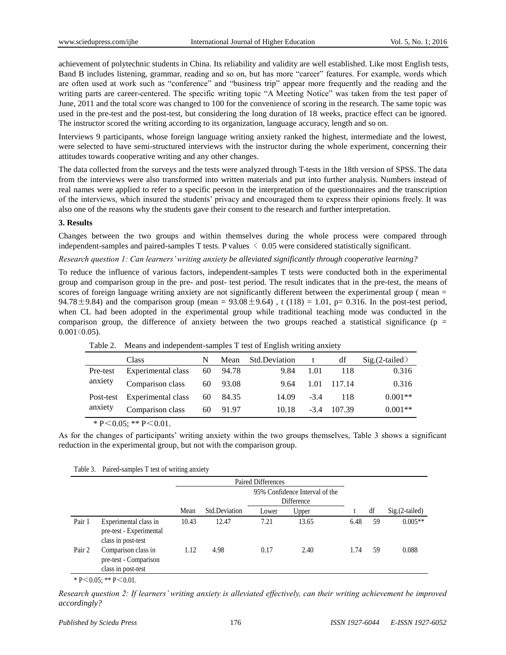achievement of polytechnic students in China. Its reliability and validity are well established. Like most English tests, Band B includes listening, grammar, reading and so on, but has more "career" features. For example, words which are often used at work such as "conference" and "business trip" appear more frequently and the reading and the writing parts are career-centered. The specific writing topic "A Meeting Notice" was taken from the test paper of June, 2011 and the total score was changed to 100 for the convenience of scoring in the research. The same topic was used in the pre-test and the post-test, but considering the long duration of 18 weeks, practice effect can be ignored. The instructor scored the writing according to its organization, language accuracy, length and so on.

Interviews 9 participants, whose foreign language writing anxiety ranked the highest, intermediate and the lowest, were selected to have semi-structured interviews with the instructor during the whole experiment, concerning their attitudes towards cooperative writing and any other changes.

The data collected from the surveys and the tests were analyzed through T-tests in the 18th version of SPSS. The data from the interviews were also transformed into written materials and put into further analysis. Numbers instead of real names were applied to refer to a specific person in the interpretation of the questionnaires and the transcription of the interviews, which insured the students' privacy and encouraged them to express their opinions freely. It was also one of the reasons why the students gave their consent to the research and further interpretation.

## **3. Results**

Changes between the two groups and within themselves during the whole process were compared through independent-samples and paired-samples T tests. P values < 0.05 were considered statistically significant.

*Research question 1: Can learners' writing anxiety be alleviated significantly through cooperative learning?*

To reduce the influence of various factors, independent-samples T tests were conducted both in the experimental group and comparison group in the pre- and post- test period. The result indicates that in the pre-test, the means of scores of foreign language writing anxiety are not significantly different between the experimental group (mean = 94.78 $\pm$ 9.84) and the comparison group (mean = 93.08 $\pm$ 9.64), t (118) = 1.01, p= 0.316. In the post-test period, when CL had been adopted in the experimental group while traditional teaching mode was conducted in the comparison group, the difference of anxiety between the two groups reached a statistical significance ( $p =$  $0.001 \le 0.05$ ).

|           | Class              | N  | Mean  | Std.Deviation |        | df     | $Sig.(2-tailed)$ |
|-----------|--------------------|----|-------|---------------|--------|--------|------------------|
| Pre-test  | Experimental class | 60 | 94.78 | 9.84          | 1.01   | 118    | 0.316            |
| anxiety   | Comparison class   | 60 | 93.08 | 9.64          | 1.01   | 117.14 | 0.316            |
| Post-test | Experimental class | 60 | 84.35 | 14.09         | $-3.4$ | 118    | $0.001**$        |
| anxiety   | Comparison class   | 60 | 91.97 | 10.18         | $-3.4$ | 107.39 | $0.001**$        |
|           |                    |    |       |               |        |        |                  |

As for the changes of participants' writing anxiety within the two groups themselves, Table 3 shows a significant reduction in the experimental group, but not with the comparison group.

| Table 3. Paired-samples T test of writing anxiety |  |  |  |  |  |
|---------------------------------------------------|--|--|--|--|--|
|---------------------------------------------------|--|--|--|--|--|

|                  |           | Class                                                                   |       | N    | Mean          | Std.Deviation                  |            | t      | df     |      |    | $Sig.(2-tailed)$ |
|------------------|-----------|-------------------------------------------------------------------------|-------|------|---------------|--------------------------------|------------|--------|--------|------|----|------------------|
|                  | Pre-test  | Experimental class                                                      |       | 60   | 94.78         |                                | 9.84       | 1.01   | 118    |      |    | 0.316            |
|                  | anxiety   | Comparison class                                                        |       | 60   | 93.08         |                                | 9.64       | 1.01   | 117.14 |      |    | 0.316            |
|                  | Post-test | Experimental class                                                      |       | 60   | 84.35         | 14.09                          |            | $-3.4$ | 118    |      |    | $0.001**$        |
|                  | anxiety   | Comparison class                                                        |       | 60   | 91.97         | 10.18                          |            | $-3.4$ | 107.39 |      |    | $0.001**$        |
|                  |           | reduction in the experimental group, but not with the comparison group. |       |      |               |                                |            |        |        |      |    |                  |
|                  |           | Table 3. Paired-samples T test of writing anxiety                       |       |      |               | <b>Paired Differences</b>      |            |        |        |      |    |                  |
|                  |           |                                                                         |       |      |               | 95% Confidence Interval of the | Difference |        |        |      |    |                  |
|                  |           |                                                                         | Mean  |      | Std.Deviation | Lower                          | Upper      |        |        | t    | df | Sig.(2-tailed)   |
|                  |           | Experimental class in<br>pre-test - Experimental<br>class in post-test  | 10.43 |      | 12.47         | 7.21                           | 13.65      |        |        | 6.48 | 59 | $0.005**$        |
| Pair 1<br>Pair 2 |           | Comparison class in<br>pre-test - Comparison<br>class in post-test      | 1.12  | 4.98 |               | 0.17                           | 2.40       |        |        | 1.74 | 59 | 0.088            |

*Research question 2: If learners' writing anxiety is alleviated effectively, can their writing achievement be improved*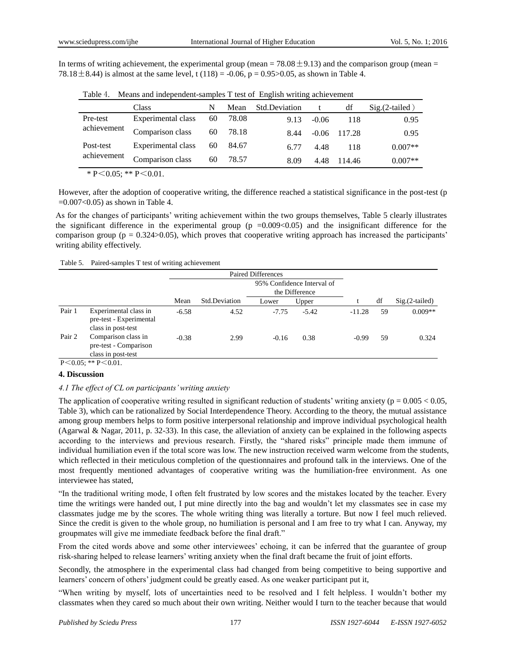In terms of writing achievement, the experimental group (mean =  $78.08 \pm 9.13$ ) and the comparison group (mean = 78.18 $\pm$ 8.44) is almost at the same level, t (118) = -0.06, p = 0.95 $>$ 0.05, as shown in Table 4.

|             | Class              |                             | Mean  | Std.Deviation |           | df     | $Sig.(2-tailed)$ |
|-------------|--------------------|-----------------------------|-------|---------------|-----------|--------|------------------|
| Pre-test    | Experimental class | 60                          | 78.08 | 9.13          | $-0.06$   | 118    | 0.95             |
| achievement | Comparison class   | 60                          | 78.18 | 8.44          | $-0.06$   | 117.28 | 0.95             |
| Post-test   | Experimental class | 60                          | 84.67 | 6.77          | 4.48      | 118    | $0.007**$        |
| achievement | Comparison class   | 60<br>78.57<br>4.48<br>8.09 |       | 114.46        | $0.007**$ |        |                  |
|             |                    |                             |       |               |           |        |                  |

Table 4. Means and independent-samples T test of English writing achievement

 $* P \leq 0.05$ ;  $* P \leq 0.01$ .

However, after the adoption of cooperative writing, the difference reached a statistical significance in the post-test (p  $=0.007<0.05$ ) as shown in Table 4.

As for the changes of participants' writing achievement within the two groups themselves, Table 5 clearly illustrates the significant difference in the experimental group ( $p = 0.009<0.05$ ) and the insignificant difference for the comparison group ( $p = 0.324 \ge 0.05$ ), which proves that cooperative writing approach has increased the participants' writing ability effectively.

|               |                                                                                                                                                                                                                                                                                                                                                                                                                                                                                                                                                                                                                             |         | <b>Paired Differences</b> |                                              |         |          |    |                  |
|---------------|-----------------------------------------------------------------------------------------------------------------------------------------------------------------------------------------------------------------------------------------------------------------------------------------------------------------------------------------------------------------------------------------------------------------------------------------------------------------------------------------------------------------------------------------------------------------------------------------------------------------------------|---------|---------------------------|----------------------------------------------|---------|----------|----|------------------|
|               |                                                                                                                                                                                                                                                                                                                                                                                                                                                                                                                                                                                                                             |         |                           | 95% Confidence Interval of<br>the Difference |         |          |    |                  |
|               |                                                                                                                                                                                                                                                                                                                                                                                                                                                                                                                                                                                                                             | Mean    | Std.Deviation             | Lower                                        | Upper   | t        | df | $Sig.(2-tailed)$ |
| Pair 1        | Experimental class in<br>pre-test - Experimental<br>class in post-test                                                                                                                                                                                                                                                                                                                                                                                                                                                                                                                                                      | $-6.58$ | 4.52                      | $-7.75$                                      | $-5.42$ | $-11.28$ | 59 | $0.009**$        |
| Pair 2        | Comparison class in<br>pre-test - Comparison<br>class in post-test                                                                                                                                                                                                                                                                                                                                                                                                                                                                                                                                                          | $-0.38$ | 2.99                      | $-0.16$                                      | 0.38    | $-0.99$  | 59 | 0.324            |
|               | $P \le 0.05$ ; ** $P \le 0.01$ .                                                                                                                                                                                                                                                                                                                                                                                                                                                                                                                                                                                            |         |                           |                                              |         |          |    |                  |
| 4. Discussion |                                                                                                                                                                                                                                                                                                                                                                                                                                                                                                                                                                                                                             |         |                           |                                              |         |          |    |                  |
|               | 4.1 The effect of CL on participants' writing anxiety                                                                                                                                                                                                                                                                                                                                                                                                                                                                                                                                                                       |         |                           |                                              |         |          |    |                  |
|               | (Agarwal & Nagar, 2011, p. 32-33). In this case, the alleviation of anxiety can be explained in the following aspects<br>according to the interviews and previous research. Firstly, the "shared risks" principle made them immune of<br>individual humiliation even if the total score was low. The new instruction received warm welcome from the students<br>which reflected in their meticulous completion of the questionnaires and profound talk in the interviews. One of the<br>most frequently mentioned advantages of cooperative writing was the humiliation-free environment. As one<br>interviewee has stated, |         |                           |                                              |         |          |    |                  |
|               | "In the traditional writing mode, I often felt frustrated by low scores and the mistakes located by the teacher. Every<br>time the writings were handed out, I put mine directly into the bag and wouldn't let my classmates see in case my<br>classmates judge me by the scores. The whole writing thing was literally a torture. But now I feel much relieved.<br>Since the credit is given to the whole group, no humiliation is personal and I am free to try what I can. Anyway, my<br>groupmates will give me immediate feedback before the final draft."                                                             |         |                           |                                              |         |          |    |                  |
|               | From the cited words above and some other interviewees' echoing, it can be inferred that the guarantee of group<br>risk-sharing helped to release learners' writing anxiety when the final draft became the fruit of joint efforts.                                                                                                                                                                                                                                                                                                                                                                                         |         |                           |                                              |         |          |    |                  |
|               | Secondly, the atmosphere in the experimental class had changed from being competitive to being supportive and<br>learners' concern of others' judgment could be greatly eased. As one weaker participant put it,                                                                                                                                                                                                                                                                                                                                                                                                            |         |                           |                                              |         |          |    |                  |
|               | "When writing by myself, lots of uncertainties need to be resolved and I felt helpless. I wouldn't bother my<br>classmates when they cared so much about their own writing. Neither would I turn to the teacher because that would                                                                                                                                                                                                                                                                                                                                                                                          |         |                           |                                              |         |          |    |                  |

#### **4. Discussion**

#### *4.1 The effect of CL on participants' writing anxiety*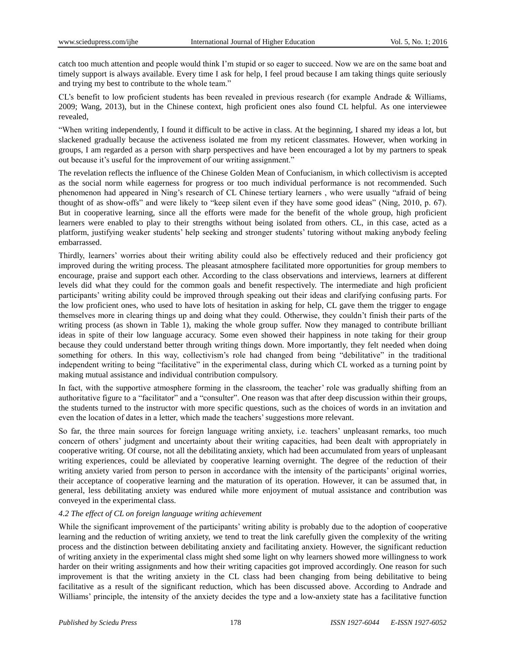catch too much attention and people would think I'm stupid or so eager to succeed. Now we are on the same boat and timely support is always available. Every time I ask for help, I feel proud because I am taking things quite seriously and trying my best to contribute to the whole team."

CL's benefit to low proficient students has been revealed in previous research (for example Andrade & Williams, 2009; Wang, 2013), but in the Chinese context, high proficient ones also found CL helpful. As one interviewee revealed,

"When writing independently, I found it difficult to be active in class. At the beginning, I shared my ideas a lot, but slackened gradually because the activeness isolated me from my reticent classmates. However, when working in groups, I am regarded as a person with sharp perspectives and have been encouraged a lot by my partners to speak out because it's useful for the improvement of our writing assignment."

The revelation reflects the influence of the Chinese Golden Mean of Confucianism, in which collectivism is accepted as the social norm while eagerness for progress or too much individual performance is not recommended. Such phenomenon had appeared in Ning's research of CL Chinese tertiary learners , who were usually "afraid of being thought of as show-offs" and were likely to "keep silent even if they have some good ideas" (Ning, 2010, p. 67). But in cooperative learning, since all the efforts were made for the benefit of the whole group, high proficient learners were enabled to play to their strengths without being isolated from others. CL, in this case, acted as a platform, justifying weaker students' help seeking and stronger students' tutoring without making anybody feeling embarrassed.

Thirdly, learners' worries about their writing ability could also be effectively reduced and their proficiency got improved during the writing process. The pleasant atmosphere facilitated more opportunities for group members to encourage, praise and support each other. According to the class observations and interviews, learners at different levels did what they could for the common goals and benefit respectively. The intermediate and high proficient participants' writing ability could be improved through speaking out their ideas and clarifying confusing parts. For the low proficient ones, who used to have lots of hesitation in asking for help, CL gave them the trigger to engage themselves more in clearing things up and doing what they could. Otherwise, they couldn't finish their parts of the writing process (as shown in Table 1), making the whole group suffer. Now they managed to contribute brilliant ideas in spite of their low language accuracy. Some even showed their happiness in note taking for their group because they could understand better through writing things down. More importantly, they felt needed when doing something for others. In this way, collectivism's role had changed from being "debilitative" in the traditional independent writing to being "facilitative" in the experimental class, during which CL worked as a turning point by making mutual assistance and individual contribution compulsory.

In fact, with the supportive atmosphere forming in the classroom, the teacher' role was gradually shifting from an authoritative figure to a "facilitator" and a "consulter". One reason was that after deep discussion within their groups, the students turned to the instructor with more specific questions, such as the choices of words in an invitation and even the location of dates in a letter, which made the teachers' suggestions more relevant.

So far, the three main sources for foreign language writing anxiety, i.e. teachers' unpleasant remarks, too much concern of others' judgment and uncertainty about their writing capacities, had been dealt with appropriately in cooperative writing. Of course, not all the debilitating anxiety, which had been accumulated from years of unpleasant writing experiences, could be alleviated by cooperative learning overnight. The degree of the reduction of their writing anxiety varied from person to person in accordance with the intensity of the participants' original worries, their acceptance of cooperative learning and the maturation of its operation. However, it can be assumed that, in general, less debilitating anxiety was endured while more enjoyment of mutual assistance and contribution was conveyed in the experimental class.

# *4.2 The effect of CL on foreign language writing achievement*

While the significant improvement of the participants' writing ability is probably due to the adoption of cooperative learning and the reduction of writing anxiety, we tend to treat the link carefully given the complexity of the writing process and the distinction between debilitating anxiety and facilitating anxiety. However, the significant reduction of writing anxiety in the experimental class might shed some light on why learners showed more willingness to work harder on their writing assignments and how their writing capacities got improved accordingly. One reason for such improvement is that the writing anxiety in the CL class had been changing from being debilitative to being facilitative as a result of the significant reduction, which has been discussed above. According to Andrade and Williams' principle, the intensity of the anxiety decides the type and a low-anxiety state has a facilitative function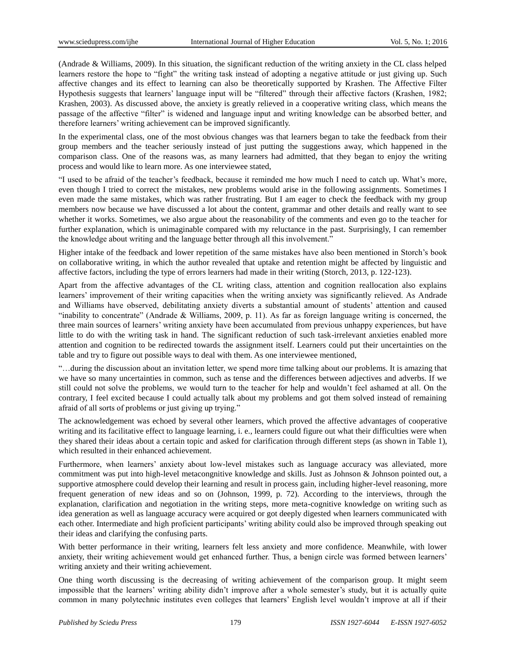(Andrade & Williams, 2009). In this situation, the significant reduction of the writing anxiety in the CL class helped learners restore the hope to "fight" the writing task instead of adopting a negative attitude or just giving up. Such affective changes and its effect to learning can also be theoretically supported by Krashen. The Affective Filter Hypothesis suggests that learners' language input will be "filtered" through their affective factors (Krashen, 1982; Krashen, 2003). As discussed above, the anxiety is greatly relieved in a cooperative writing class, which means the passage of the affective "filter" is widened and language input and writing knowledge can be absorbed better, and therefore learners' writing achievement can be improved significantly.

In the experimental class, one of the most obvious changes was that learners began to take the feedback from their group members and the teacher seriously instead of just putting the suggestions away, which happened in the comparison class. One of the reasons was, as many learners had admitted, that they began to enjoy the writing process and would like to learn more. As one interviewee stated,

"I used to be afraid of the teacher's feedback, because it reminded me how much I need to catch up. What's more, even though I tried to correct the mistakes, new problems would arise in the following assignments. Sometimes I even made the same mistakes, which was rather frustrating. But I am eager to check the feedback with my group members now because we have discussed a lot about the content, grammar and other details and really want to see whether it works. Sometimes, we also argue about the reasonability of the comments and even go to the teacher for further explanation, which is unimaginable compared with my reluctance in the past. Surprisingly, I can remember the knowledge about writing and the language better through all this involvement."

Higher intake of the feedback and lower repetition of the same mistakes have also been mentioned in Storch's book on collaborative writing, in which the author revealed that uptake and retention might be affected by linguistic and affective factors, including the type of errors learners had made in their writing (Storch, 2013, p. 122-123).

Apart from the affective advantages of the CL writing class, attention and cognition reallocation also explains learners' improvement of their writing capacities when the writing anxiety was significantly relieved. As Andrade and Williams have observed, debilitating anxiety diverts a substantial amount of students' attention and caused "inability to concentrate" (Andrade & Williams, 2009, p. 11). As far as foreign language writing is concerned, the three main sources of learners' writing anxiety have been accumulated from previous unhappy experiences, but have little to do with the writing task in hand. The significant reduction of such task-irrelevant anxieties enabled more attention and cognition to be redirected towards the assignment itself. Learners could put their uncertainties on the table and try to figure out possible ways to deal with them. As one interviewee mentioned,

"…during the discussion about an invitation letter, we spend more time talking about our problems. It is amazing that we have so many uncertainties in common, such as tense and the differences between adjectives and adverbs. If we still could not solve the problems, we would turn to the teacher for help and wouldn't feel ashamed at all. On the contrary, I feel excited because I could actually talk about my problems and got them solved instead of remaining afraid of all sorts of problems or just giving up trying."

The acknowledgement was echoed by several other learners, which proved the affective advantages of cooperative writing and its facilitative effect to language learning, i. e., learners could figure out what their difficulties were when they shared their ideas about a certain topic and asked for clarification through different steps (as shown in Table 1), which resulted in their enhanced achievement.

Furthermore, when learners' anxiety about low-level mistakes such as language accuracy was alleviated, more commitment was put into high-level metacongnitive knowledge and skills. Just as Johnson & Johnson pointed out, a supportive atmosphere could develop their learning and result in process gain, including higher-level reasoning, more frequent generation of new ideas and so on (Johnson, 1999, p. 72). According to the interviews, through the explanation, clarification and negotiation in the writing steps, more meta-cognitive knowledge on writing such as idea generation as well as language accuracy were acquired or got deeply digested when learners communicated with each other. Intermediate and high proficient participants' writing ability could also be improved through speaking out their ideas and clarifying the confusing parts.

With better performance in their writing, learners felt less anxiety and more confidence. Meanwhile, with lower anxiety, their writing achievement would get enhanced further. Thus, a benign circle was formed between learners' writing anxiety and their writing achievement.

One thing worth discussing is the decreasing of writing achievement of the comparison group. It might seem impossible that the learners' writing ability didn't improve after a whole semester's study, but it is actually quite common in many polytechnic institutes even colleges that learners' English level wouldn't improve at all if their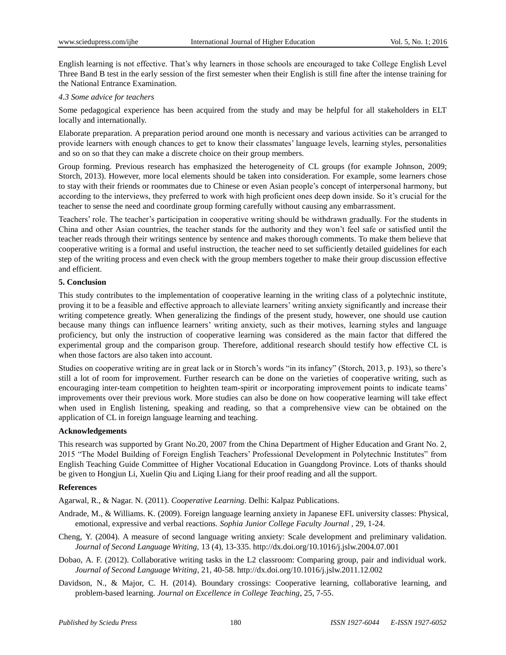English learning is not effective. That's why learners in those schools are encouraged to take College English Level Three Band B test in the early session of the first semester when their English is still fine after the intense training for the National Entrance Examination.

#### *4.3 Some advice for teachers*

Some pedagogical experience has been acquired from the study and may be helpful for all stakeholders in ELT locally and internationally.

Elaborate preparation. A preparation period around one month is necessary and various activities can be arranged to provide learners with enough chances to get to know their classmates' language levels, learning styles, personalities and so on so that they can make a discrete choice on their group members.

Group forming. Previous research has emphasized the heterogeneity of CL groups (for example Johnson, 2009; Storch, 2013). However, more local elements should be taken into consideration. For example, some learners chose to stay with their friends or roommates due to Chinese or even Asian people's concept of interpersonal harmony, but according to the interviews, they preferred to work with high proficient ones deep down inside. So it's crucial for the teacher to sense the need and coordinate group forming carefully without causing any embarrassment.

Teachers' role. The teacher's participation in cooperative writing should be withdrawn gradually. For the students in China and other Asian countries, the teacher stands for the authority and they won't feel safe or satisfied until the teacher reads through their writings sentence by sentence and makes thorough comments. To make them believe that cooperative writing is a formal and useful instruction, the teacher need to set sufficiently detailed guidelines for each step of the writing process and even check with the group members together to make their group discussion effective and efficient.

#### **5. Conclusion**

This study contributes to the implementation of cooperative learning in the writing class of a polytechnic institute, proving it to be a feasible and effective approach to alleviate learners' writing anxiety significantly and increase their writing competence greatly. When generalizing the findings of the present study, however, one should use caution because many things can influence learners' writing anxiety, such as their motives, learning styles and language proficiency, but only the instruction of cooperative learning was considered as the main factor that differed the experimental group and the comparison group. Therefore, additional research should testify how effective CL is when those factors are also taken into account.

Studies on cooperative writing are in great lack or in Storch's words "in its infancy" (Storch, 2013, p. 193), so there's still a lot of room for improvement. Further research can be done on the varieties of cooperative writing, such as encouraging inter-team competition to heighten team-spirit or incorporating improvement points to indicate teams' improvements over their previous work. More studies can also be done on how cooperative learning will take effect when used in English listening, speaking and reading, so that a comprehensive view can be obtained on the application of CL in foreign language learning and teaching.

#### **Acknowledgements**

This research was supported by Grant No.20, 2007 from the China Department of Higher Education and Grant No. 2, 2015 "The Model Building of Foreign English Teachers' Professional Development in Polytechnic Institutes" from English Teaching Guide Committee of Higher Vocational Education in Guangdong Province. Lots of thanks should be given to Hongjun Li, Xuelin Qiu and Liqing Liang for their proof reading and all the support.

#### **References**

Agarwal, R., & Nagar. N. (2011). *Cooperative Learning*. Delhi: Kalpaz Publications.

Andrade, M., & Williams. K. (2009). Foreign language learning anxiety in Japanese EFL university classes: Physical, emotional, expressive and verbal reactions. *Sophia Junior College Faculty Journal ,* 29, 1-24.

Cheng, Y. (2004). A measure of second language writing anxiety: Scale development and preliminary validation. *Journal of Second Language Writing,* 13 (4), 13-335.<http://dx.doi.org/10.1016/j.jslw.2004.07.001>

- Dobao, A. F. (2012). Collaborative writing tasks in the L2 classroom: Comparing group, pair and individual work. *Journal of Second Language Writing*, 21, 40-58.<http://dx.doi.org/10.1016/j.jslw.2011.12.002>
- Davidson, N., & Major, C. H. (2014). Boundary crossings: Cooperative learning, collaborative learning, and problem-based learning. *Journal on Excellence in College Teaching*, 25, 7-55.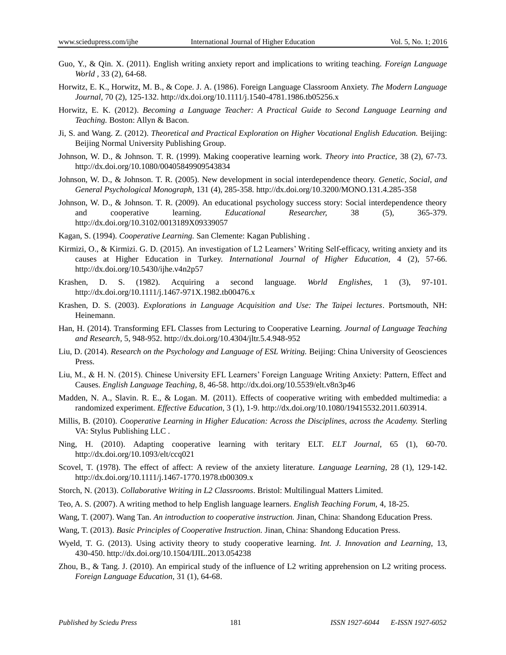- Guo, Y., & Qin. X. (2011). English writing anxiety report and implications to writing teaching. *Foreign Language World ,* 33 (2), 64-68.
- Horwitz, E. K., Horwitz, M. B., & Cope. J. A. (1986). Foreign Language Classroom Anxiety. *The Modern Language Journal,* 70 (2), 125-132. <http://dx.doi.org/10.1111/j.1540-4781.1986.tb05256.x>
- Horwitz, E. K. (2012). *Becoming a Language Teacher: A Practical Guide to Second Language Learning and Teaching.* Boston: Allyn & Bacon.
- Ji, S. and Wang. Z. (2012). *Theoretical and Practical Exploration on Higher Vocational English Education.* Beijing: Beijing Normal University Publishing Group.
- Johnson, W. D., & Johnson. T. R. (1999). Making cooperative learning work. *Theory into Practice,* 38 (2), 67-73. <http://dx.doi.org/10.1080/00405849909543834>
- Johnson, W. D., & Johnson. T. R. (2005). New development in social interdependence theory. *Genetic, Social, and General Psychological Monograph,* 131 (4), 285-358.<http://dx.doi.org/10.3200/MONO.131.4.285-358>
- Johnson, W. D., & Johnson. T. R. (2009). An educational psychology success story: Social interdependence theory and cooperative learning. *Educational Researcher,* 38 (5), 365-379. http://dx.doi.org/10.3102/0013189X09339057
- Kagan, S. (1994). *Cooperative Learning.* San Clemente: Kagan Publishing .
- Kirmizi, O., & Kirmizi. G. D. (2015). An investigation of L2 Learners' Writing Self-efficacy, writing anxiety and its causes at Higher Education in Turkey. *International Journal of Higher Education,* 4 (2), 57-66. <http://dx.doi.org/10.5430/ijhe.v4n2p57>
- Krashen, D. S. (1982). Acquiring a second language. *World Englishes,* 1 (3), 97-101. http://dx.doi.org/10.1111/j.1467-971X.1982.tb00476.x
- Krashen, D. S. (2003). *Explorations in Language Acquisition and Use: The Taipei lectures*. Portsmouth, NH: Heinemann.
- Han, H. (2014). Transforming EFL Classes from Lecturing to Cooperative Learning. *Journal of Language Teaching and Research,* 5, 948-952[. http://dx.doi.org/10.4304/jltr.5.4.948-952](http://dx.doi.org/10.4304/jltr.5.4.948-952)
- Liu, D. (2014). *Research on the Psychology and Language of ESL Writing.* Beijing: China University of Geosciences Press.
- Liu, M., & H. N. (2015). Chinese University EFL Learners' Foreign Language Writing Anxiety: Pattern, Effect and Causes. *English Language Teaching,* 8, 46-58[. http://dx.doi.org/10.5539/elt.v8n3p46](http://dx.doi.org/10.5539/elt.v8n3p46)
- Madden, N. A., Slavin. R. E., & Logan. M. (2011). Effects of cooperative writing with embedded multimedia: a randomized experiment. *Effective Education,* 3 (1), 1-9[. http://dx.doi.org/10.1080/19415532.2011.603914.](http://dx.doi.org/10.1080/19415532.2011.603914)
- Millis, B. (2010). *Cooperative Learning in Higher Education: Across the Disciplines, across the Academy.* Sterling VA: Stylus Publishing LLC .
- Ning, H. (2010). Adapting cooperative learning with teritary ELT. *ELT Journal,* 65 (1), 60-70. <http://dx.doi.org/10.1093/elt/ccq021>
- Scovel, T. (1978). The effect of affect: A review of the anxiety literature. *Language Learning,* 28 (1), 129-142. <http://dx.doi.org/10.1111/j.1467-1770.1978.tb00309.x>
- Storch, N. (2013). *Collaborative Writing in L2 Classrooms*. Bristol: Multilingual Matters Limited.
- Teo, A. S. (2007). A writing method to help English language learners. *English Teaching Forum,* 4, 18-25.
- Wang, T. (2007). Wang Tan. *An introduction to cooperative instruction.* Jinan, China: Shandong Education Press.
- Wang, T. (2013). *Basic Principles of Cooperative Instruction.* Jinan, China: Shandong Education Press.
- Wyeld, T. G. (2013). Using activity theory to study cooperative learning. *Int. J. Innovation and Learning,* 13, 430-450.<http://dx.doi.org/10.1504/IJIL.2013.054238>
- Zhou, B., & Tang. J. (2010). An empirical study of the influence of L2 writing apprehension on L2 writing process. *Foreign Language Education,* 31 (1), 64-68.